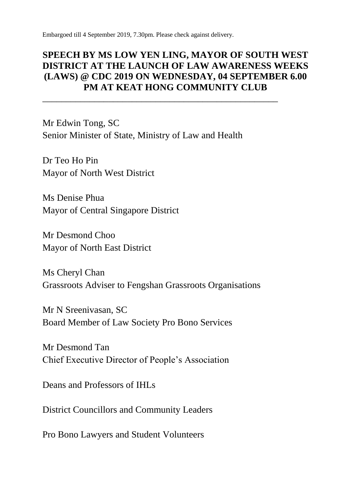Embargoed till 4 September 2019, 7.30pm. Please check against delivery.

#### **SPEECH BY MS LOW YEN LING, MAYOR OF SOUTH WEST DISTRICT AT THE LAUNCH OF LAW AWARENESS WEEKS (LAWS) @ CDC 2019 ON WEDNESDAY, 04 SEPTEMBER 6.00 PM AT KEAT HONG COMMUNITY CLUB**

\_\_\_\_\_\_\_\_\_\_\_\_\_\_\_\_\_\_\_\_\_\_\_\_\_\_\_\_\_\_\_\_\_\_\_\_\_\_\_\_\_\_\_\_\_\_\_\_\_\_

Mr Edwin Tong, SC Senior Minister of State, Ministry of Law and Health

Dr Teo Ho Pin Mayor of North West District

Ms Denise Phua Mayor of Central Singapore District

Mr Desmond Choo Mayor of North East District

Ms Cheryl Chan Grassroots Adviser to Fengshan Grassroots Organisations

Mr N Sreenivasan, SC Board Member of Law Society Pro Bono Services

Mr Desmond Tan Chief Executive Director of People's Association

Deans and Professors of IHLs

District Councillors and Community Leaders

Pro Bono Lawyers and Student Volunteers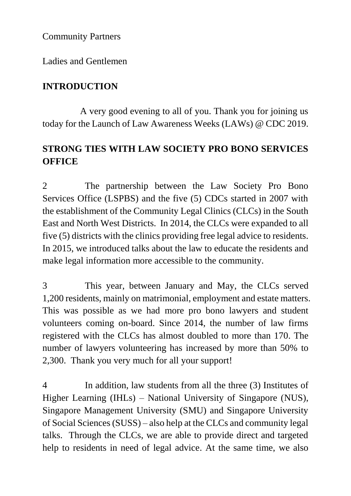Community Partners

Ladies and Gentlemen

#### **INTRODUCTION**

A very good evening to all of you. Thank you for joining us today for the Launch of Law Awareness Weeks (LAWs) @ CDC 2019.

## **STRONG TIES WITH LAW SOCIETY PRO BONO SERVICES OFFICE**

2 The partnership between the Law Society Pro Bono Services Office (LSPBS) and the five (5) CDCs started in 2007 with the establishment of the Community Legal Clinics (CLCs) in the South East and North West Districts. In 2014, the CLCs were expanded to all five (5) districts with the clinics providing free legal advice to residents. In 2015, we introduced talks about the law to educate the residents and make legal information more accessible to the community.

3 This year, between January and May, the CLCs served 1,200 residents, mainly on matrimonial, employment and estate matters. This was possible as we had more pro bono lawyers and student volunteers coming on-board. Since 2014, the number of law firms registered with the CLCs has almost doubled to more than 170. The number of lawyers volunteering has increased by more than 50% to 2,300. Thank you very much for all your support!

4 In addition, law students from all the three (3) Institutes of Higher Learning (IHLs) – National University of Singapore (NUS), Singapore Management University (SMU) and Singapore University of Social Sciences (SUSS) – also help at the CLCs and community legal talks. Through the CLCs, we are able to provide direct and targeted help to residents in need of legal advice. At the same time, we also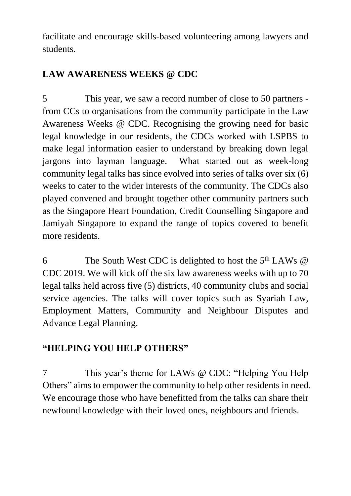facilitate and encourage skills-based volunteering among lawyers and students.

## **LAW AWARENESS WEEKS @ CDC**

5 This year, we saw a record number of close to 50 partners from CCs to organisations from the community participate in the Law Awareness Weeks @ CDC. Recognising the growing need for basic legal knowledge in our residents, the CDCs worked with LSPBS to make legal information easier to understand by breaking down legal jargons into layman language. What started out as week-long community legal talks has since evolved into series of talks over six (6) weeks to cater to the wider interests of the community. The CDCs also played convened and brought together other community partners such as the Singapore Heart Foundation, Credit Counselling Singapore and Jamiyah Singapore to expand the range of topics covered to benefit more residents.

6 The South West CDC is delighted to host the  $5<sup>th</sup>$  LAWs  $@$ CDC 2019. We will kick off the six law awareness weeks with up to 70 legal talks held across five (5) districts, 40 community clubs and social service agencies. The talks will cover topics such as Syariah Law, Employment Matters, Community and Neighbour Disputes and Advance Legal Planning.

# **"HELPING YOU HELP OTHERS"**

7 This year's theme for LAWs @ CDC: "Helping You Help Others" aims to empower the community to help other residents in need. We encourage those who have benefitted from the talks can share their newfound knowledge with their loved ones, neighbours and friends.